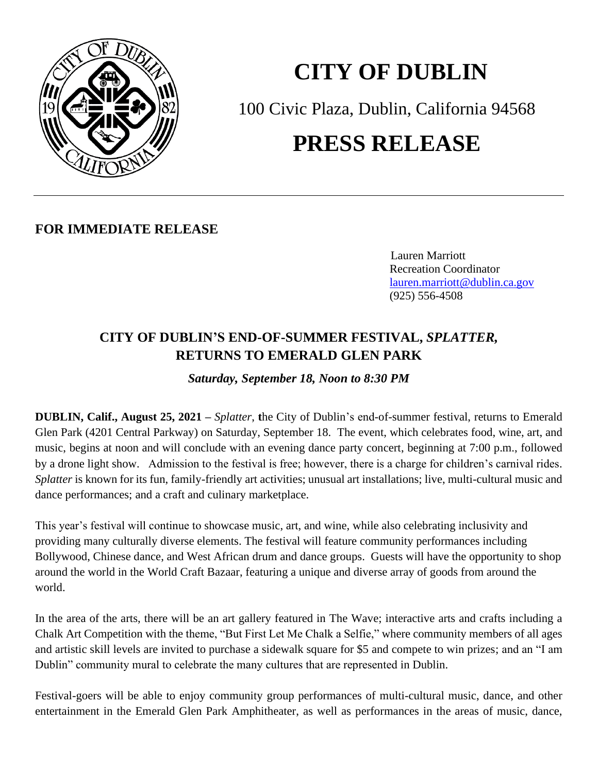

## **CITY OF DUBLIN**

100 Civic Plaza, Dublin, California 94568

## **PRESS RELEASE**

**FOR IMMEDIATE RELEASE**

 Lauren Marriott Recreation Coordinator [lauren.marriott@dublin.ca.gov](mailto:lauren.marriott@dublin.ca.gov) (925) 556-4508

## **CITY OF DUBLIN'S END-OF-SUMMER FESTIVAL,** *SPLATTER,* **RETURNS TO EMERALD GLEN PARK**

*Saturday, September 18, Noon to 8:30 PM*

**DUBLIN, Calif., August 25, 2021 –** *Splatter*, **t**he City of Dublin's end-of-summer festival, returns to Emerald Glen Park (4201 Central Parkway) on Saturday, September 18. The event, which celebrates food, wine, art, and music, begins at noon and will conclude with an evening dance party concert, beginning at 7:00 p.m., followed by a drone light show. Admission to the festival is free; however, there is a charge for children's carnival rides. *Splatter* is known for its fun, family-friendly art activities; unusual art installations; live, multi-cultural music and dance performances; and a craft and culinary marketplace.

This year's festival will continue to showcase music, art, and wine, while also celebrating inclusivity and providing many culturally diverse elements. The festival will feature community performances including Bollywood, Chinese dance, and West African drum and dance groups. Guests will have the opportunity to shop around the world in the World Craft Bazaar, featuring a unique and diverse array of goods from around the world.

In the area of the arts, there will be an art gallery featured in The Wave; interactive arts and crafts including a Chalk Art Competition with the theme, "But First Let Me Chalk a Selfie," where community members of all ages and artistic skill levels are invited to purchase a sidewalk square for \$5 and compete to win prizes; and an "I am Dublin" community mural to celebrate the many cultures that are represented in Dublin.

Festival-goers will be able to enjoy community group performances of multi-cultural music, dance, and other entertainment in the Emerald Glen Park Amphitheater, as well as performances in the areas of music, dance,